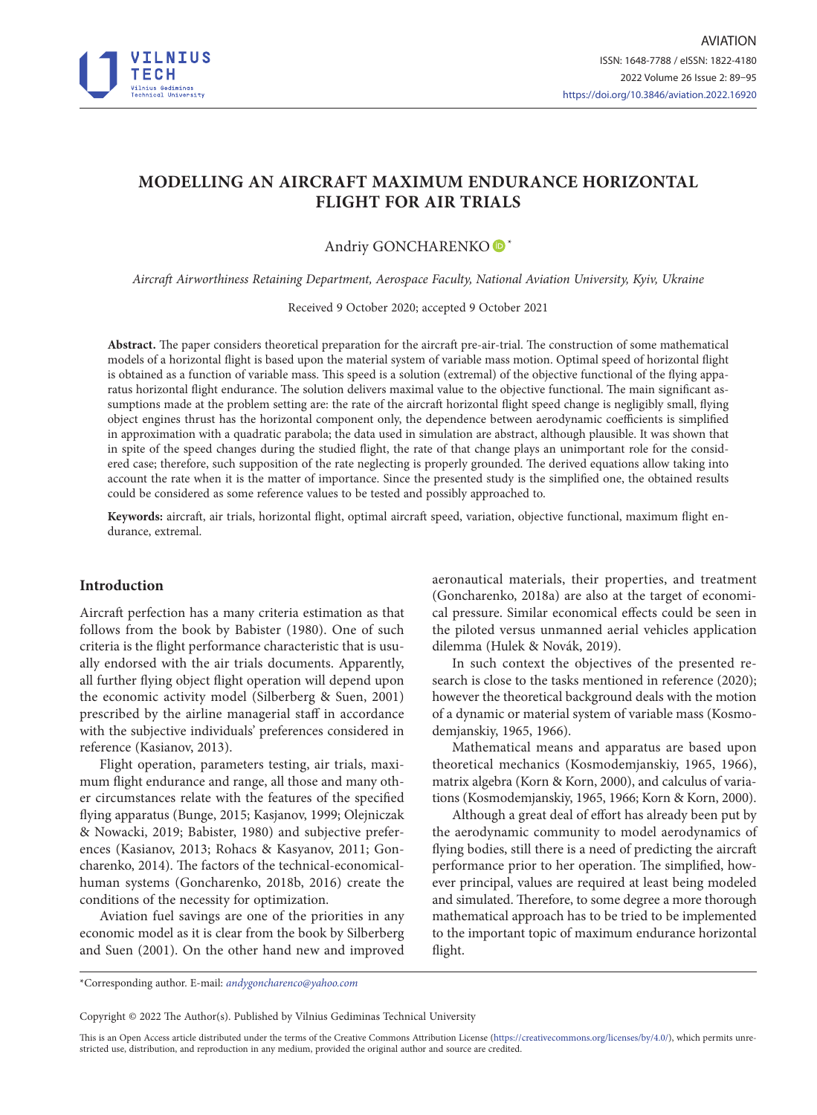

# **MODELLING AN AIRCRAFT MAXIMUM ENDURANCE HORIZONTAL FLIGHT FOR AIR TRIALS**

## Andriy GONCHARENKO<sup>®\*</sup>

*Aircraft Airworthiness Retaining Department, Aerospace Faculty, National Aviation University, Kyiv, Ukraine*

Received 9 October 2020; accepted 9 October 2021

**Abstract.** The paper considers theoretical preparation for the aircraft pre-air-trial. The construction of some mathematical models of a horizontal flight is based upon the material system of variable mass motion. Optimal speed of horizontal flight is obtained as a function of variable mass. This speed is a solution (extremal) of the objective functional of the flying apparatus horizontal flight endurance. The solution delivers maximal value to the objective functional. The main significant assumptions made at the problem setting are: the rate of the aircraft horizontal flight speed change is negligibly small, flying object engines thrust has the horizontal component only, the dependence between aerodynamic coefficients is simplified in approximation with a quadratic parabola; the data used in simulation are abstract, although plausible. It was shown that in spite of the speed changes during the studied flight, the rate of that change plays an unimportant role for the considered case; therefore, such supposition of the rate neglecting is properly grounded. The derived equations allow taking into account the rate when it is the matter of importance. Since the presented study is the simplified one, the obtained results could be considered as some reference values to be tested and possibly approached to.

**Keywords:** aircraft, air trials, horizontal flight, optimal aircraft speed, variation, objective functional, maximum flight endurance, extremal.

## **Introduction**

Aircraft perfection has a many criteria estimation as that follows from the book by Babister (1980). One of such criteria is the flight performance characteristic that is usually endorsed with the air trials documents. Apparently, all further flying object flight operation will depend upon the economic activity model (Silberberg & Suen, 2001) prescribed by the airline managerial staff in accordance with the subjective individuals' preferences considered in reference (Kasianov, 2013).

Flight operation, parameters testing, air trials, maximum flight endurance and range, all those and many other circumstances relate with the features of the specified flying apparatus (Bunge, 2015; Kasjanov, 1999; Olejniczak & Nowacki, 2019; Babister, 1980) and subjective preferences (Kasianov, 2013; Rohacs & Kasyanov, 2011; Goncharenko, 2014). The factors of the technical-economicalhuman systems (Goncharenko, 2018b, 2016) create the conditions of the necessity for optimization.

Aviation fuel savings are one of the priorities in any economic model as it is clear from the book by Silberberg and Suen (2001). On the other hand new and improved aeronautical materials, their properties, and treatment (Goncharenko, 2018a) are also at the target of economical pressure. Similar economical effects could be seen in the piloted versus unmanned aerial vehicles application dilemma (Hulek & Novák, 2019).

In such context the objectives of the presented research is close to the tasks mentioned in reference (2020); however the theoretical background deals with the motion of a dynamic or material system of variable mass (Kosmodemjanskiy, 1965, 1966).

Mathematical means and apparatus are based upon theoretical mechanics (Kosmodemjanskiy, 1965, 1966), matrix algebra (Korn & Korn, 2000), and calculus of variations (Kosmodemjanskiy, 1965, 1966; Korn & Korn, 2000).

Although a great deal of effort has already been put by the aerodynamic community to model aerodynamics of flying bodies, still there is a need of predicting the aircraft performance prior to her operation. The simplified, however principal, values are required at least being modeled and simulated. Therefore, to some degree a more thorough mathematical approach has to be tried to be implemented to the important topic of maximum endurance horizontal flight.

\*Corresponding author. E-mail: *[andygoncharenco@yahoo.com](mailto:andygoncharenco@yahoo.com)*

Copyright © 2022 The Author(s). Published by Vilnius Gediminas Technical University

This is an Open Access article distributed under the terms of the Creative Commons Attribution License [\(https://creativecommons.org/licenses/by/4.0/\)](http://creativecommons.org/licenses/by/4.0/), which permits unrestricted use, distribution, and reproduction in any medium, provided the original author and source are credited.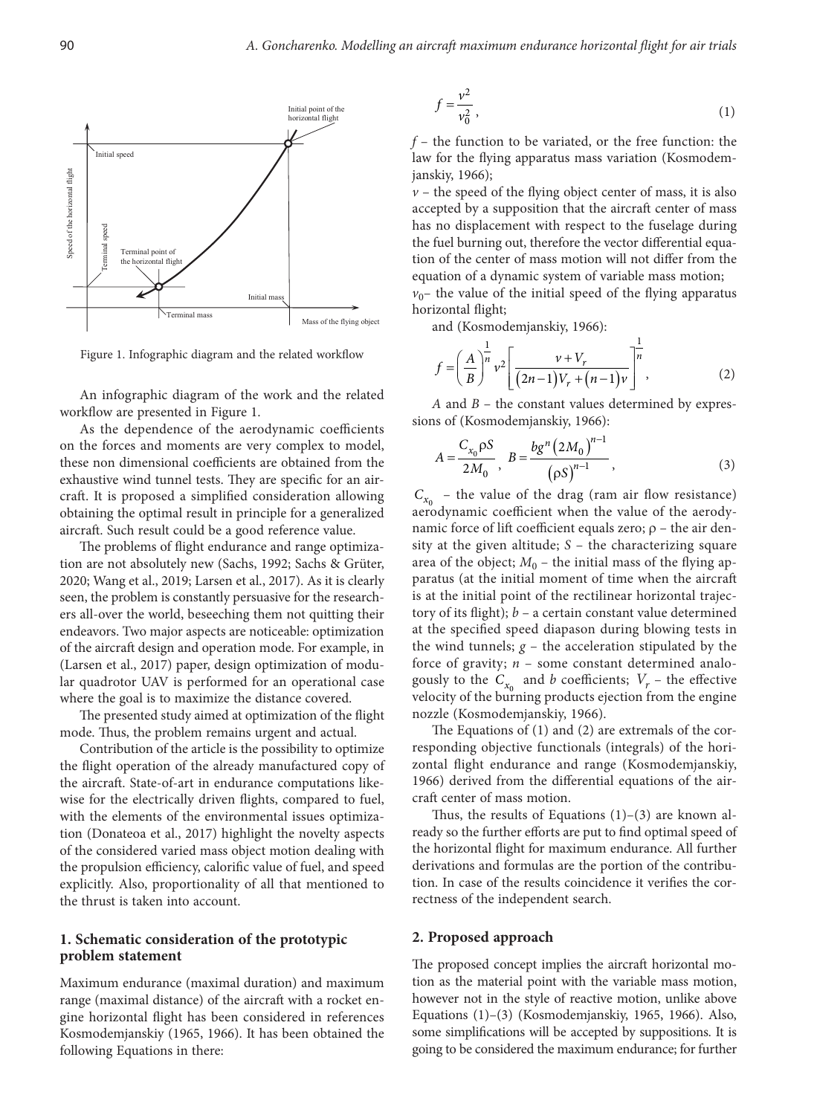

Figure 1. Infographic diagram and the related workflow

An infographic diagram of the work and the related workflow are presented in Figure 1.

As the dependence of the aerodynamic coefficients on the forces and moments are very complex to model, these non dimensional coefficients are obtained from the exhaustive wind tunnel tests. They are specific for an aircraft. It is proposed a simplified consideration allowing obtaining the optimal result in principle for a generalized aircraft. Such result could be a good reference value.

The problems of flight endurance and range optimization are not absolutely new (Sachs, 1992; Sachs & Grüter, 2020; Wang et al., 2019; Larsen et al., 2017). As it is clearly seen, the problem is constantly persuasive for the researchers all-over the world, beseeching them not quitting their endeavors. Two major aspects are noticeable: optimization of the aircraft design and operation mode. For example, in (Larsen et al., 2017) paper, design optimization of modular quadrotor UAV is performed for an operational case where the goal is to maximize the distance covered.

The presented study aimed at optimization of the flight mode. Thus, the problem remains urgent and actual.

Contribution of the article is the possibility to optimize the flight operation of the already manufactured copy of the aircraft. State-of-art in endurance computations likewise for the electrically driven flights, compared to fuel, with the elements of the environmental issues optimization (Donateoa et al., 2017) highlight the novelty aspects of the considered varied mass object motion dealing with the propulsion efficiency, calorific value of fuel, and speed explicitly. Also, proportionality of all that mentioned to the thrust is taken into account.

### **1. Schematic consideration of the prototypic problem statement**

Maximum endurance (maximal duration) and maximum range (maximal distance) of the aircraft with a rocket engine horizontal flight has been considered in references Kosmodemjanskiy (1965, 1966). It has been obtained the following Equations in there:

$$
f = \frac{v^2}{v_0^2},\tag{1}
$$

*f* – the function to be variated, or the free function: the law for the flying apparatus mass variation (Kosmodemjanskiy, 1966);

 $v$  – the speed of the flying object center of mass, it is also accepted by a supposition that the aircraft center of mass has no displacement with respect to the fuselage during the fuel burning out, therefore the vector differential equation of the center of mass motion will not differ from the equation of a dynamic system of variable mass motion;  $v_0$ – the value of the initial speed of the flying apparatus horizontal flight;

and (Kosmodemjanskiy, 1966):

$$
f = \left(\frac{A}{B}\right)^{\frac{1}{n}} v^2 \left[\frac{v + V_r}{(2n-1)V_r + (n-1)v}\right]^{\frac{1}{n}},
$$
 (2)

*A* and *B* – the constant values determined by expressions of (Kosmodemjanskiy, 1966):

$$
A = \frac{C_{x_0} \rho S}{2M_0}, \ B = \frac{bg^n (2M_0)^{n-1}}{(\rho S)^{n-1}}, \tag{3}
$$

 $C_{x_0}$  – the value of the drag (ram air flow resistance) aerodynamic coefficient when the value of the aerodynamic force of lift coefficient equals zero;  $\rho$  – the air density at the given altitude; *S* – the characterizing square area of the object;  $M_0$  – the initial mass of the flying apparatus (at the initial moment of time when the aircraft is at the initial point of the rectilinear horizontal trajectory of its flight); *b* – a certain constant value determined at the specified speed diapason during blowing tests in the wind tunnels;  $g$  – the acceleration stipulated by the force of gravity;  $n$  – some constant determined analogously to the  $C_{x_0}$  and *b* coefficients;  $V_r$  – the effective velocity of the burning products ejection from the engine nozzle (Kosmodemjanskiy, 1966).

The Equations of (1) and (2) are extremals of the corresponding objective functionals (integrals) of the horizontal flight endurance and range (Kosmodemjanskiy, 1966) derived from the differential equations of the aircraft center of mass motion.

Thus, the results of Equations  $(1)-(3)$  are known already so the further efforts are put to find optimal speed of the horizontal flight for maximum endurance. All further derivations and formulas are the portion of the contribution. In case of the results coincidence it verifies the correctness of the independent search.

#### **2. Proposed approach**

The proposed concept implies the aircraft horizontal motion as the material point with the variable mass motion, however not in the style of reactive motion, unlike above Equations (1)–(3) (Kosmodemjanskiy, 1965, 1966). Also, some simplifications will be accepted by suppositions. It is going to be considered the maximum endurance; for further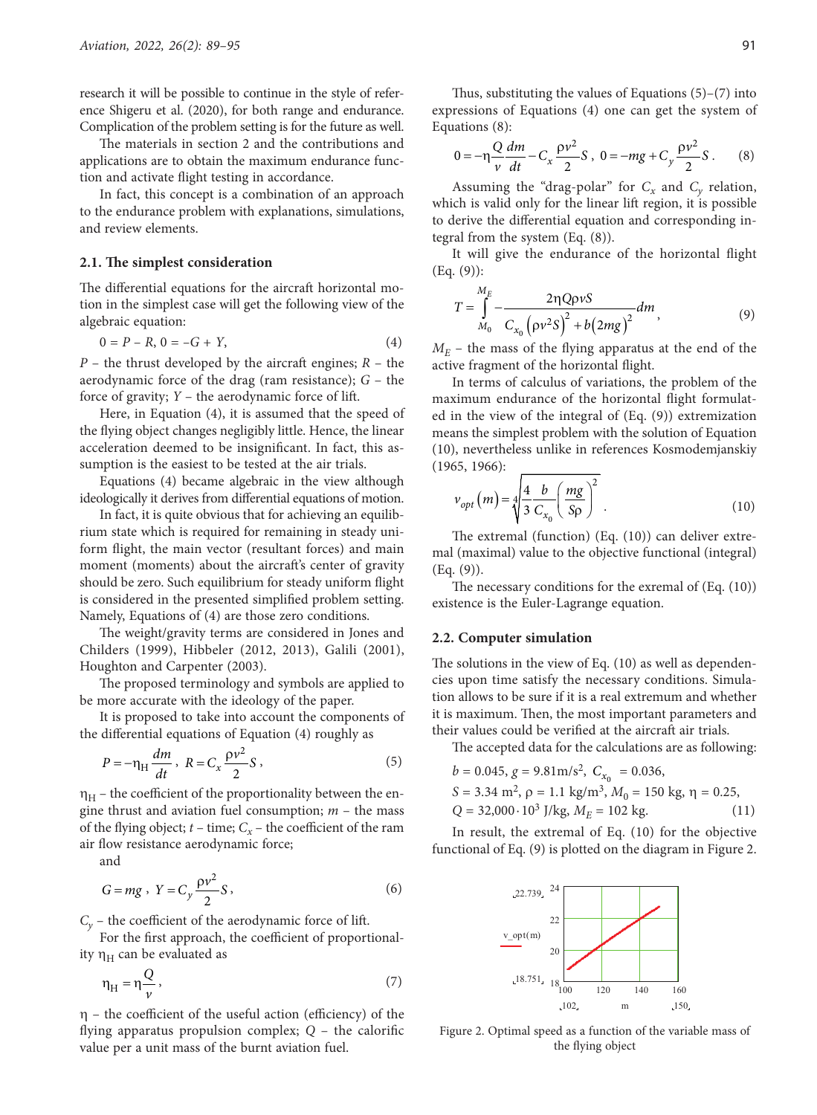research it will be possible to continue in the style of reference [Shigeru](https://www.researchgate.net/scientific-contributions/2144084163-Shigeru-Sunada?_sg%5B0%5D=k14eWnx8vg3CRGsuWB8sCN2w8P_bDNq7kB1469t_2HdnbPl7s6Q-IbUuOu8AE0H8BspMuzw.G3Z2Pi0cm2P0zVouE4rLE_3-4Bjw56PR5hxKhgObgfORHGW09nQgGdU-ws7aIsQrYJ0IMztwR3NxaHLoDxhLaA&_sg%5B1%5D=PIuOSBdcZDWi5rToF6F-D-UY6HzMDesQioU6PFUWRkCLEgIH_L-CqSinKhKqRBf49f2ReWw.HsgmUr-yBF04Jmvfdg4A6MkyK9jJvnAkkxHL9fU7T9xI-f1ZqLhYu0dbaYKr_dDvW-Rre4bysbQm5Vsc4xBTYA) [et al.](https://www.researchgate.net/scientific-contributions/Ryoji-Katayanagi-2175971062?_sg%5B0%5D=k14eWnx8vg3CRGsuWB8sCN2w8P_bDNq7kB1469t_2HdnbPl7s6Q-IbUuOu8AE0H8BspMuzw.G3Z2Pi0cm2P0zVouE4rLE_3-4Bjw56PR5hxKhgObgfORHGW09nQgGdU-ws7aIsQrYJ0IMztwR3NxaHLoDxhLaA&_sg%5B1%5D=PIuOSBdcZDWi5rToF6F-D-UY6HzMDesQioU6PFUWRkCLEgIH_L-CqSinKhKqRBf49f2ReWw.HsgmUr-yBF04Jmvfdg4A6MkyK9jJvnAkkxHL9fU7T9xI-f1ZqLhYu0dbaYKr_dDvW-Rre4bysbQm5Vsc4xBTYA) (2020), for both range and endurance. Complication of the problem setting is for the future as well.

The materials in section 2 and the contributions and applications are to obtain the maximum endurance function and activate flight testing in accordance.

In fact, this concept is a combination of an approach to the endurance problem with explanations, simulations, and review elements.

#### **2.1. The simplest consideration**

The differential equations for the aircraft horizontal motion in the simplest case will get the following view of the algebraic equation:

$$
0 = P - R, 0 = -G + Y,
$$
\n(4)

*P* – the thrust developed by the aircraft engines; *R* – the aerodynamic force of the drag (ram resistance); *G* – the force of gravity; *Y* – the aerodynamic force of lift.

Here, in Equation (4), it is assumed that the speed of the flying object changes negligibly little. Hence, the linear acceleration deemed to be insignificant. In fact, this assumption is the easiest to be tested at the air trials.

Equations (4) became algebraic in the view although ideologically it derives from differential equations of motion.

In fact, it is quite obvious that for achieving an equilibrium state which is required for remaining in steady uniform flight, the main vector (resultant forces) and main moment (moments) about the aircraft's center of gravity should be zero. Such equilibrium for steady uniform flight is considered in the presented simplified problem setting. Namely, Equations of (4) are those zero conditions.

The weight/gravity terms are considered in Jones and Childers (1999), Hibbeler (2012, 2013), Galili (2001), Houghton and Carpenter (2003).

The proposed terminology and symbols are applied to be more accurate with the ideology of the paper.

It is proposed to take into account the components of the differential equations of Equation (4) roughly as

$$
P = -\eta_H \frac{dm}{dt}, \ R = C_x \frac{\rho v^2}{2} S,
$$
\n<sup>(5)</sup>

 $\eta_H$  – the coefficient of the proportionality between the engine thrust and aviation fuel consumption; *m* – the mass of the flying object;  $t$  – time;  $C_x$  – the coefficient of the ram air flow resistance aerodynamic force;

and

$$
G = mg, \ Y = C_y \frac{\rho v^2}{2} S,
$$
\n<sup>(6)</sup>

 $C_v$  – the coefficient of the aerodynamic force of lift.

For the first approach, the coefficient of proportionality  $\eta_H$  can be evaluated as

$$
\eta_H = \eta \frac{Q}{\nu},\tag{7}
$$

 $n -$  the coefficient of the useful action (efficiency) of the flying apparatus propulsion complex; *Q* – the calorific value per a unit mass of the burnt aviation fuel.

Thus, substituting the values of Equations  $(5)-(7)$  into expressions of Equations (4) one can get the system of Equations (8):

$$
0 = -\eta \frac{Q}{v} \frac{dm}{dt} - C_x \frac{\rho v^2}{2} S \,, \ 0 = -mg + C_y \frac{\rho v^2}{2} S \,. \tag{8}
$$

Assuming the "drag-polar" for  $C_x$  and  $C_y$  relation, which is valid only for the linear lift region, it is possible to derive the differential equation and corresponding integral from the system (Eq. (8)).

It will give the endurance of the horizontal flight (Eq. (9)):

$$
T = \int_{M_0}^{M_E} -\frac{2\eta Q \rho vS}{C_{x_0} (\rho v^2 S)^2 + b(2mg)^2} dm,
$$
 (9)

 $M_E$  – the mass of the flying apparatus at the end of the active fragment of the horizontal flight.

In terms of calculus of variations, the problem of the maximum endurance of the horizontal flight formulated in the view of the integral of (Eq. (9)) extremization means the simplest problem with the solution of Equation (10), nevertheless unlike in references Kosmodemjanskiy (1965, 1966):

$$
v_{opt}(m) = \sqrt[4]{\frac{4}{3} \frac{b}{C_{x_0}} \left(\frac{mg}{\text{Sp}}\right)^2} \tag{10}
$$

The extremal (function) (Eq. (10)) can deliver extremal (maximal) value to the objective functional (integral) (Eq. (9)).

The necessary conditions for the exremal of (Eq. (10)) existence is the Euler-Lagrange equation.

### **2.2. Computer simulation**

The solutions in the view of Eq. (10) as well as dependencies upon time satisfy the necessary conditions. Simulation allows to be sure if it is a real extremum and whether it is maximum. Then, the most important parameters and their values could be verified at the aircraft air trials.

The accepted data for the calculations are as following:

 $b = 0.045$ ,  $g = 9.81$ m/s<sup>2</sup>,  $C_{x_0} = 0.036$ ,  $S = 3.34$  m<sup>2</sup>,  $\rho = 1.1$  kg/m<sup>3</sup>,  $M_0 = 150$  kg,  $\eta = 0.25$ ,  $Q = 32,000 \cdot 10^3$  J/kg,  $M_E = 102$  kg. (11)

In result, the extremal of Eq. (10) for the objective functional of Eq. (9) is plotted on the diagram in Figure 2.



Figure 2. Optimal speed as a function of the variable mass of the flying object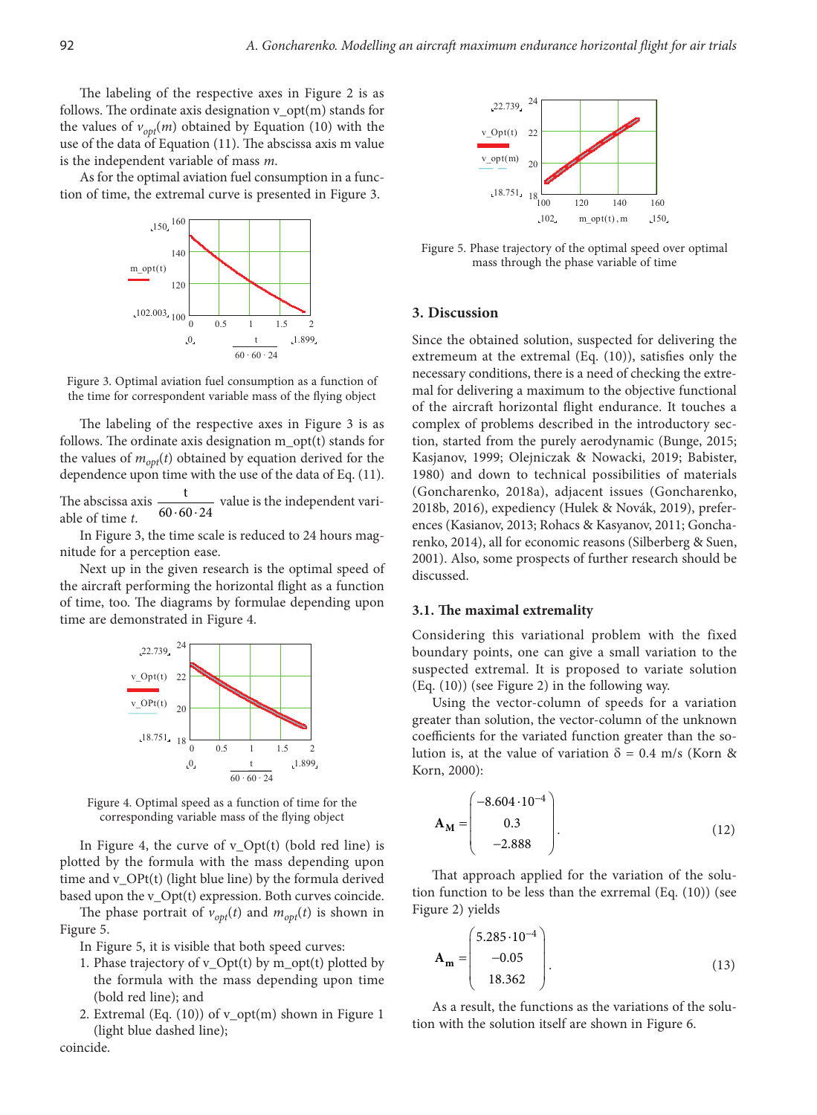The labeling of the respective axes in Figure 2 is as follows. The ordinate axis designation v\_opt(m) stands for the values of  $v_{opt}(m)$  obtained by Equation (10) with the use of the data of Equation (11). The abscissa axis m value is the independent variable of mass *m*.

As for the optimal aviation fuel consumption in a function of time, the extremal curve is presented in Figure 3.



Figure 3. Optimal aviation fuel consumption as a function of the time for correspondent variable mass of the flying object

The labeling of the respective axes in Figure 3 is as follows. The ordinate axis designation m\_opt(t) stands for the values of  $m_{opt}(t)$  obtained by equation derived for the dependence upon time with the use of the data of Eq. (11).

The abscissa axis  $\frac{t}{60.60 \cdot 24}$  value is the independent variable of time *t*.

In Figure 3, the time scale is reduced to 24 hours magnitude for a perception ease.

Next up in the given research is the optimal speed of the aircraft performing the horizontal flight as a function of time, too. The diagrams by formulae depending upon time are demonstrated in Figure 4.



Figure 4. Optimal speed as a function of time for the corresponding variable mass of the flying object

In Figure 4, the curve of v\_Opt(t) (bold red line) is plotted by the formula with the mass depending upon time and v\_OPt(t) (light blue line) by the formula derived based upon the v\_Opt(t) expression. Both curves coincide.

The phase portrait of  $v_{opt}(t)$  and  $m_{opt}(t)$  is shown in Figure 5.

In Figure 5, it is visible that both speed curves:

coincide.

- 1. Phase trajectory of v\_Opt(t) by m\_opt(t) plotted by the formula with the mass depending upon time (bold red line); and
- 2. Extremal (Eq.  $(10)$ ) of v\_opt $(m)$  shown in Figure 1 (light blue dashed line);



Figure 5. Phase trajectory of the optimal speed over optimal mass through the phase variable of time

#### **3. Discussion**

Since the obtained solution, suspected for delivering the extremeum at the extremal (Eq. (10)), satisfies only the necessary conditions, there is a need of checking the extremal for delivering a maximum to the objective functional of the aircraft horizontal flight endurance. It touches a complex of problems described in the introductory section, started from the purely aerodynamic (Bunge, 2015; Kasjanov, 1999; Olejniczak & Nowacki, 2019; Babister, 1980) and down to technical possibilities of materials (Goncharenko, 2018a), adjacent issues (Goncharenko, 2018b, 2016), expediency (Hulek & Novák, 2019), preferences (Kasianov, 2013; Rohacs & Kasyanov, 2011; Goncharenko, 2014), all for economic reasons (Silberberg & Suen, 2001). Also, some prospects of further research should be discussed.

#### **3.1. The maximal extremality**

Considering this variational problem with the fixed boundary points, one can give a small variation to the suspected extremal. It is proposed to variate solution (Eq. (10)) (see Figure 2) in the following way.

Using the vector-column of speeds for a variation greater than solution, the vector-column of the unknown coefficients for the variated function greater than the solution is, at the value of variation  $\delta = 0.4$  m/s (Korn & Korn, 2000):

$$
\mathbf{A}_{\mathbf{M}} = \begin{pmatrix} -8.604 \cdot 10^{-4} \\ 0.3 \\ -2.888 \end{pmatrix} . \tag{12}
$$

That approach applied for the variation of the solution function to be less than the exrremal (Eq. (10)) (see Figure 2) yields

$$
\mathbf{A_m} = \begin{pmatrix} 5.285 \cdot 10^{-4} \\ -0.05 \\ 18.362 \end{pmatrix} . \tag{13}
$$

As a result, the functions as the variations of the solution with the solution itself are shown in Figure 6.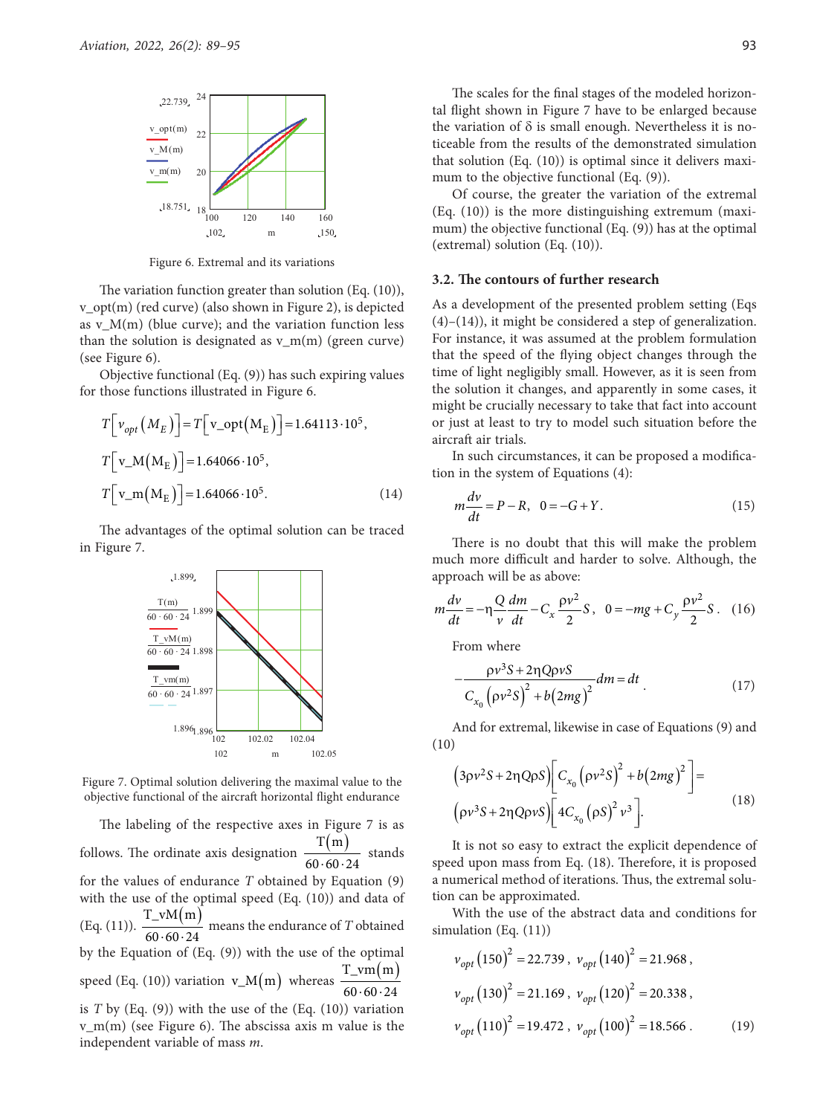

Figure 6. Extremal and its variations

The variation function greater than solution (Eq. (10)), v\_opt(m) (red curve) (also shown in Figure 2), is depicted as  $v_M(m)$  (blue curve); and the variation function less than the solution is designated as  $v_{m}(m)$  (green curve) (see Figure 6).

Objective functional (Eq. (9)) has such expiring values for those functions illustrated in Figure 6.

$$
T[v_{opt}(M_E)] = T[v_{opt}(M_E)] = 1.64113 \cdot 10^5,
$$
  
\n
$$
T[v_{M}(M_E)] = 1.64066 \cdot 10^5,
$$
  
\n
$$
T[v_{m}(M_E)] = 1.64066 \cdot 10^5.
$$
 (14)

The advantages of the optimal solution can be traced in Figure 7.



Figure 7. Optimal solution delivering the maximal value to the objective functional of the aircraft horizontal flight endurance

The labeling of the respective axes in Figure 7 is as follows. The ordinate axis designation  $\frac{T(m)}{60.60 \cdot 24}$  stands for the values of endurance *T* obtained by Equation (9) with the use of the optimal speed (Eq. (10)) and data of (Eq. (11)).  $\frac{T_v M(m)}{60.60 \cdot 24}$  means the endurance of *T* obtained by the Equation of (Eq. (9)) with the use of the optimal speed (Eq. (10)) variation  $v_M(m)$  whereas  $\frac{T\_vm(m)}{60.60.24}$ is *T* by (Eq. (9)) with the use of the (Eq. (10)) variation v\_m(m) (see Figure 6). The abscissa axis m value is the independent variable of mass *m*.

The scales for the final stages of the modeled horizontal flight shown in Figure 7 have to be enlarged because the variation of  $\delta$  is small enough. Nevertheless it is noticeable from the results of the demonstrated simulation that solution (Eq. (10)) is optimal since it delivers maximum to the objective functional (Eq.  $(9)$ ).

Of course, the greater the variation of the extremal (Eq. (10)) is the more distinguishing extremum (maximum) the objective functional (Eq. (9)) has at the optimal (extremal) solution (Eq. (10)).

#### **3.2. The contours of further research**

As a development of the presented problem setting (Eqs (4)–(14)), it might be considered a step of generalization. For instance, it was assumed at the problem formulation that the speed of the flying object changes through the time of light negligibly small. However, as it is seen from the solution it changes, and apparently in some cases, it might be crucially necessary to take that fact into account or just at least to try to model such situation before the aircraft air trials.

In such circumstances, it can be proposed a modification in the system of Equations (4):

$$
m\frac{dv}{dt} = P - R, \quad 0 = -G + Y.
$$
 (15)

There is no doubt that this will make the problem much more difficult and harder to solve. Although, the approach will be as above:

$$
m\frac{dv}{dt} = -\eta \frac{Q}{v} \frac{dm}{dt} - C_x \frac{\rho v^2}{2} S, \ \ 0 = -mg + C_y \frac{\rho v^2}{2} S. \ \ (16)
$$

From where

$$
-\frac{\rho v^3 S + 2\eta Q \rho v S}{C_{x_0} (\rho v^2 S)^2 + b (2mg)^2} dm = dt
$$
\n(17)

And for extremal, likewise in case of Equations (9) and (10)

$$
(3\rho v^2 S + 2\eta Q \rho S) \bigg[ C_{x_0} (\rho v^2 S)^2 + b (2mg)^2 \bigg] =
$$
  

$$
(\rho v^3 S + 2\eta Q \rho v S) \bigg[ 4C_{x_0} (\rho S)^2 v^3 \bigg].
$$
 (18)

It is not so easy to extract the explicit dependence of speed upon mass from Eq. (18). Therefore, it is proposed a numerical method of iterations. Thus, the extremal solution can be approximated.

With the use of the abstract data and conditions for simulation (Eq. (11))

$$
v_{opt} (150)^2 = 22.739, v_{opt} (140)^2 = 21.968,
$$
  

$$
v_{opt} (130)^2 = 21.169, v_{opt} (120)^2 = 20.338,
$$
  

$$
v_{opt} (110)^2 = 19.472, v_{opt} (100)^2 = 18.566.
$$
 (19)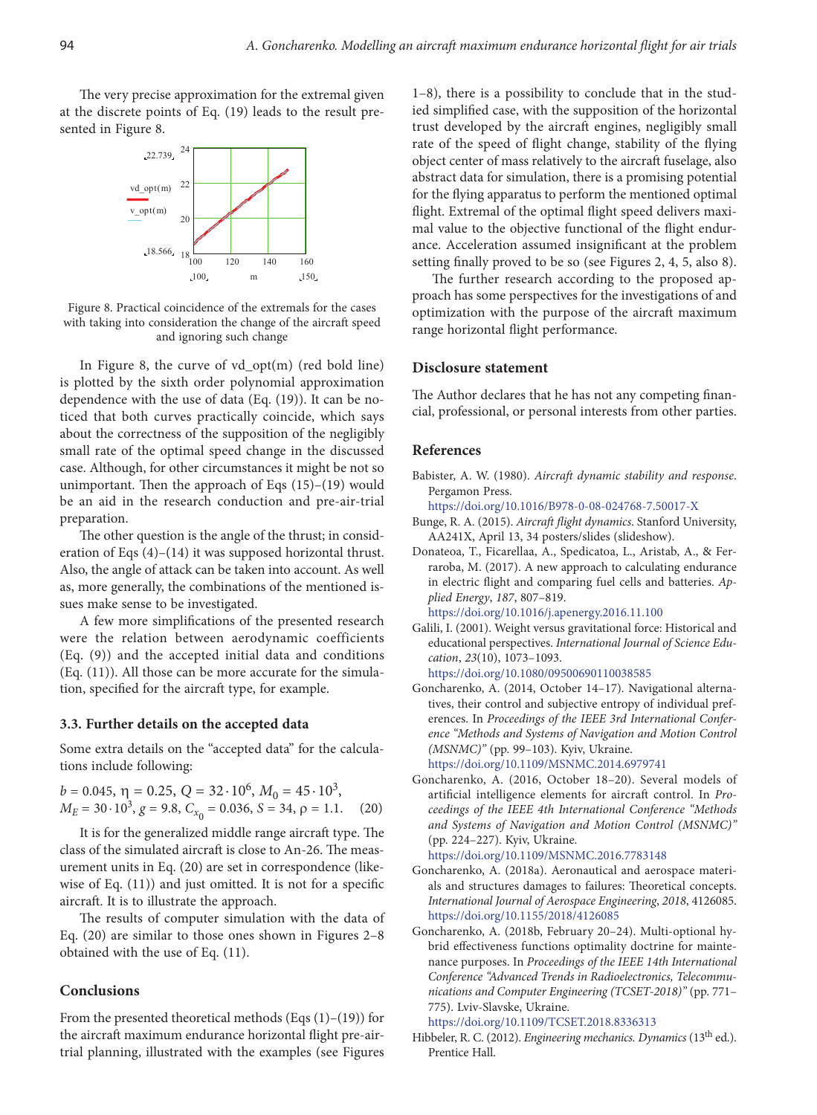The very precise approximation for the extremal given at the discrete points of Eq. (19) leads to the result presented in Figure 8.



Figure 8. Practical coincidence of the extremals for the cases with taking into consideration the change of the aircraft speed and ignoring such change

In Figure 8, the curve of vd\_opt(m) (red bold line) is plotted by the sixth order polynomial approximation dependence with the use of data (Eq. (19)). It can be noticed that both curves practically coincide, which says about the correctness of the supposition of the negligibly small rate of the optimal speed change in the discussed case. Although, for other circumstances it might be not so unimportant. Then the approach of Eqs (15)–(19) would be an aid in the research conduction and pre-air-trial preparation.

The other question is the angle of the thrust; in consideration of Eqs (4)–(14) it was supposed horizontal thrust. Also, the angle of attack can be taken into account. As well as, more generally, the combinations of the mentioned issues make sense to be investigated.

A few more simplifications of the presented research were the relation between aerodynamic coefficients (Eq. (9)) and the accepted initial data and conditions (Eq. (11)). All those can be more accurate for the simulation, specified for the aircraft type, for example.

#### **3.3. Further details on the accepted data**

Some extra details on the "accepted data" for the calculations include following:

$$
b = 0.045, \eta = 0.25, Q = 32 \cdot 10^6, M_0 = 45 \cdot 10^3,
$$
  

$$
M_E = 30 \cdot 10^3, g = 9.8, C_{x_0} = 0.036, S = 34, \rho = 1.1.
$$
 (20)

It is for the generalized middle range aircraft type. The class of the simulated aircraft is close to An-26. The measurement units in Eq. (20) are set in correspondence (likewise of Eq. (11)) and just omitted. It is not for a specific aircraft. It is to illustrate the approach.

The results of computer simulation with the data of Eq. (20) are similar to those ones shown in Figures 2–8 obtained with the use of Eq. (11).

## **Conclusions**

From the presented theoretical methods (Eqs  $(1)$ – $(19)$ ) for the aircraft maximum endurance horizontal flight pre-airtrial planning, illustrated with the examples (see Figures

1–8), there is a possibility to conclude that in the studied simplified case, with the supposition of the horizontal trust developed by the aircraft engines, negligibly small rate of the speed of flight change, stability of the flying object center of mass relatively to the aircraft fuselage, also abstract data for simulation, there is a promising potential for the flying apparatus to perform the mentioned optimal flight. Extremal of the optimal flight speed delivers maximal value to the objective functional of the flight endurance. Acceleration assumed insignificant at the problem setting finally proved to be so (see Figures 2, 4, 5, also 8).

The further research according to the proposed approach has some perspectives for the investigations of and optimization with the purpose of the aircraft maximum range horizontal flight performance.

### **Disclosure statement**

The Author declares that he has not any competing financial, professional, or personal interests from other parties.

### **References**

Babister, A. W. (1980). *Aircraft dynamic stability and response*. Pergamon Press.

<https://doi.org/10.1016/B978-0-08-024768-7.50017-X>

- Bunge, R. A. (2015). *Aircraft flight dynamics*. Stanford University, AA241X, April 13, 34 posters/slides (slideshow).
- Donateoa, T., Ficarellaa, A., Spedicatoa, L., Aristab, A., & Ferraroba, M. (2017). A new approach to calculating endurance in electric flight and comparing fuel cells and batteries. *Applied Energy*, *187*, 807–819.

<https://doi.org/10.1016/j.apenergy.2016.11.100>

- Galili, I. (2001). Weight versus gravitational force: Historical and educational perspectives. *International Journal of Science Education*, *23*(10), 1073–1093. <https://doi.org/10.1080/09500690110038585>
- Goncharenko, A. (2014, October 14–17). Navigational alternatives, their control and subjective entropy of individual preferences. In *Proceedings of the IEEE 3rd International Conference "Methods and Systems of Navigation and Motion Control (MSNMC)"* (pp. 99–103). Kyiv, Ukraine.

<https://doi.org/10.1109/MSNMC.2014.6979741>

Goncharenko, A. (2016, October 18–20). Several models of artificial intelligence elements for aircraft control. In *Proceedings of the IEEE 4th International Conference "Methods and Systems of Navigation and Motion Control (MSNMC)"* (pp. 224–227). Kyiv, Ukraine.

<https://doi.org/10.1109/MSNMC.2016.7783148>

- Goncharenko, A. (2018a). Aeronautical and aerospace materials and structures damages to failures: Theoretical concepts. *International Journal of Aerospace Engineering*, *2018*, 4126085. <https://doi.org/10.1155/2018/4126085>
- Goncharenko, A. (2018b, February 20–24). Multi-optional hybrid effectiveness functions optimality doctrine for maintenance purposes. In *Proceedings of the IEEE 14th International Conference "Advanced Trends in Radioelectronics, Telecommunications and Computer Engineering (TCSET-2018)"* (pp. 771– 775). Lviv-Slavske, Ukraine.

<https://doi.org/10.1109/TCSET.2018.8336313>

Hibbeler, R. C. (2012). *Engineering mechanics. Dynamics* (13th ed.). Prentice Hall.